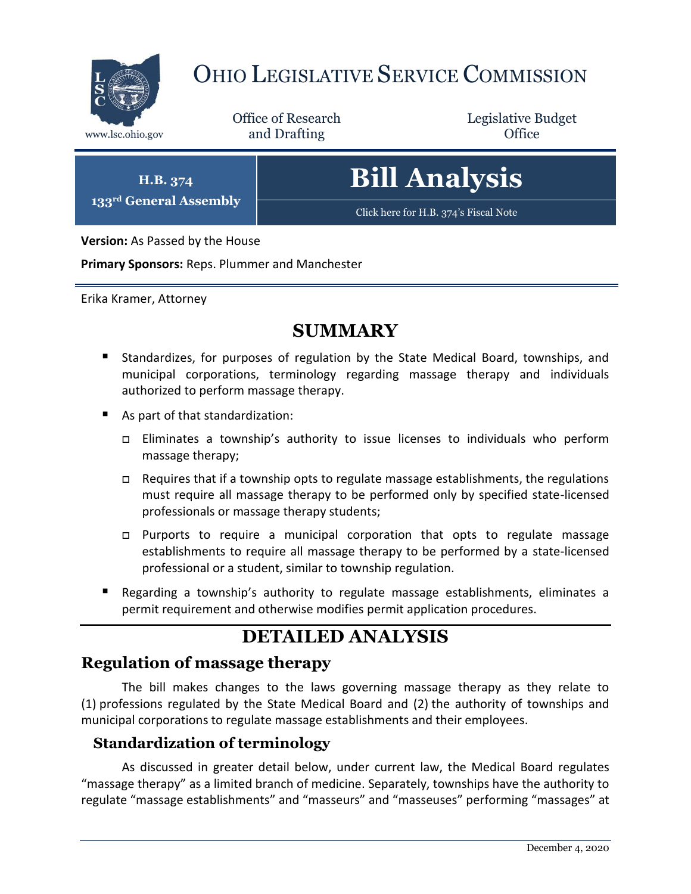

## OHIO LEGISLATIVE SERVICE COMMISSION

Office of Research www.lsc.ohio.gov **and Drafting Office** 

Legislative Budget

**H.B. 374 133rd General Assembly**

# **Bill Analysis**

[Click here for H.B. 374](https://www.legislature.ohio.gov/legislation/legislation-documents?id=GA133-HB-374)'s Fiscal Note

**Version:** As Passed by the House

**Primary Sponsors:** Reps. Plummer and Manchester

Erika Kramer, Attorney

### **SUMMARY**

- Standardizes, for purposes of regulation by the State Medical Board, townships, and municipal corporations, terminology regarding massage therapy and individuals authorized to perform massage therapy.
- As part of that standardization:
	- Eliminates a township's authority to issue licenses to individuals who perform massage therapy;
	- □ Requires that if a township opts to regulate massage establishments, the regulations must require all massage therapy to be performed only by specified state-licensed professionals or massage therapy students;
	- $\Box$  Purports to require a municipal corporation that opts to regulate massage establishments to require all massage therapy to be performed by a state-licensed professional or a student, similar to township regulation.
- Regarding a township's authority to regulate massage establishments, eliminates a permit requirement and otherwise modifies permit application procedures.

## **DETAILED ANALYSIS**

#### **Regulation of massage therapy**

The bill makes changes to the laws governing massage therapy as they relate to (1) professions regulated by the State Medical Board and (2) the authority of townships and municipal corporations to regulate massage establishments and their employees.

#### **Standardization of terminology**

As discussed in greater detail below, under current law, the Medical Board regulates "massage therapy" as a limited branch of medicine. Separately, townships have the authority to regulate "massage establishments" and "masseurs" and "masseuses" performing "massages" at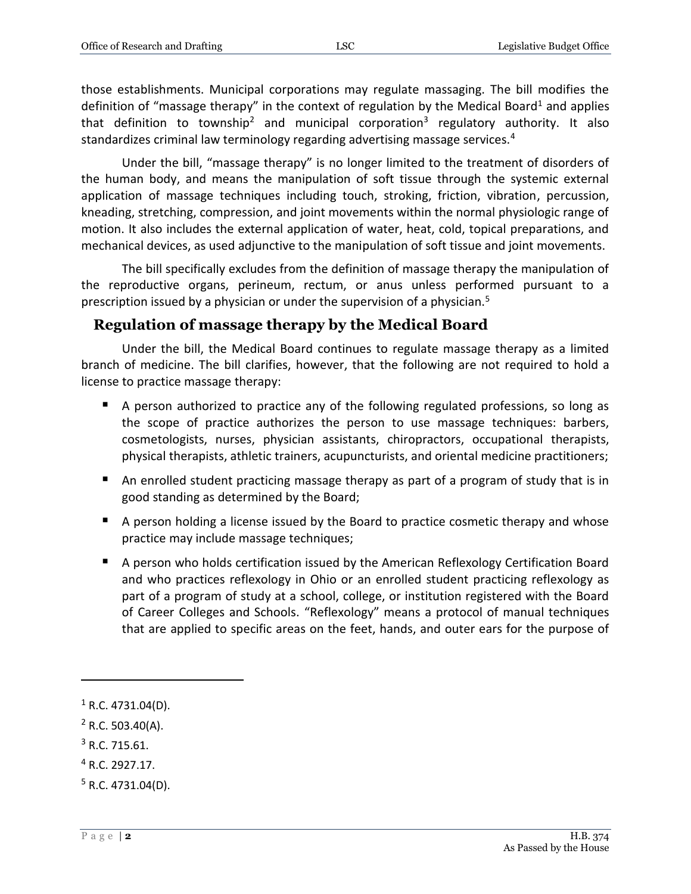those establishments. Municipal corporations may regulate massaging. The bill modifies the definition of "massage therapy" in the context of regulation by the Medical Board<sup>1</sup> and applies that definition to township<sup>2</sup> and municipal corporation<sup>3</sup> regulatory authority. It also standardizes criminal law terminology regarding advertising massage services.<sup>4</sup>

Under the bill, "massage therapy" is no longer limited to the treatment of disorders of the human body, and means the manipulation of soft tissue through the systemic external application of massage techniques including touch, stroking, friction, vibration, percussion, kneading, stretching, compression, and joint movements within the normal physiologic range of motion. It also includes the external application of water, heat, cold, topical preparations, and mechanical devices, as used adjunctive to the manipulation of soft tissue and joint movements.

The bill specifically excludes from the definition of massage therapy the manipulation of the reproductive organs, perineum, rectum, or anus unless performed pursuant to a prescription issued by a physician or under the supervision of a physician.<sup>5</sup>

#### **Regulation of massage therapy by the Medical Board**

Under the bill, the Medical Board continues to regulate massage therapy as a limited branch of medicine. The bill clarifies, however, that the following are not required to hold a license to practice massage therapy:

- A person authorized to practice any of the following regulated professions, so long as the scope of practice authorizes the person to use massage techniques: barbers, cosmetologists, nurses, physician assistants, chiropractors, occupational therapists, physical therapists, athletic trainers, acupuncturists, and oriental medicine practitioners;
- An enrolled student practicing massage therapy as part of a program of study that is in good standing as determined by the Board;
- A person holding a license issued by the Board to practice cosmetic therapy and whose practice may include massage techniques;
- A person who holds certification issued by the American Reflexology Certification Board and who practices reflexology in Ohio or an enrolled student practicing reflexology as part of a program of study at a school, college, or institution registered with the Board of Career Colleges and Schools. "Reflexology" means a protocol of manual techniques that are applied to specific areas on the feet, hands, and outer ears for the purpose of

 $3$  R.C. 715.61.

 $1$  R.C. 4731.04(D).

 $2$  R.C. 503.40(A).

<sup>4</sup> R.C. 2927.17.

 $5$  R.C. 4731.04(D).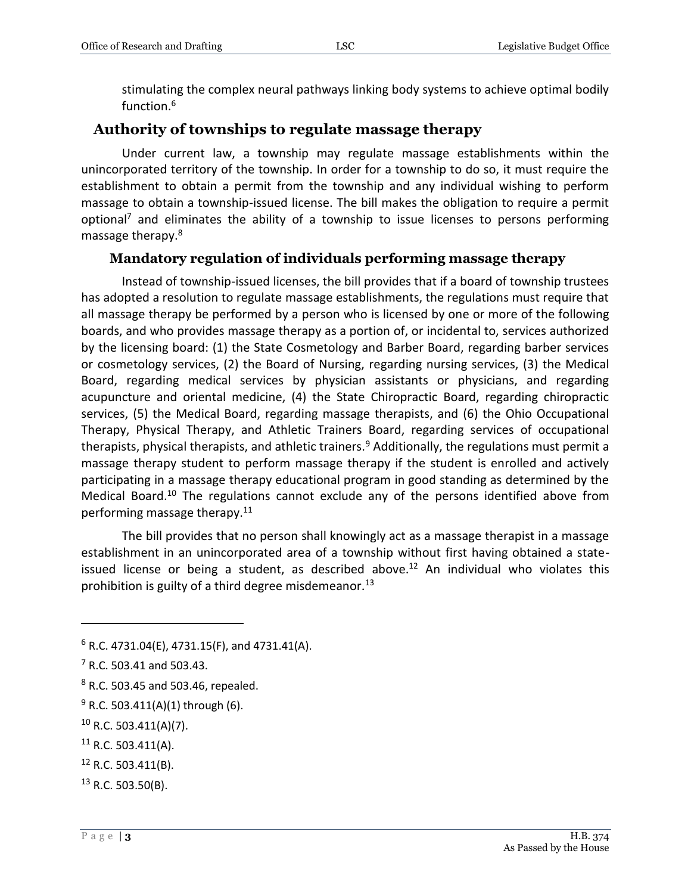stimulating the complex neural pathways linking body systems to achieve optimal bodily function.<sup>6</sup>

#### **Authority of townships to regulate massage therapy**

Under current law, a township may regulate massage establishments within the unincorporated territory of the township. In order for a township to do so, it must require the establishment to obtain a permit from the township and any individual wishing to perform massage to obtain a township-issued license. The bill makes the obligation to require a permit optional<sup>7</sup> and eliminates the ability of a township to issue licenses to persons performing massage therapy.<sup>8</sup>

#### **Mandatory regulation of individuals performing massage therapy**

Instead of township-issued licenses, the bill provides that if a board of township trustees has adopted a resolution to regulate massage establishments, the regulations must require that all massage therapy be performed by a person who is licensed by one or more of the following boards, and who provides massage therapy as a portion of, or incidental to, services authorized by the licensing board: (1) the State Cosmetology and Barber Board, regarding barber services or cosmetology services, (2) the Board of Nursing, regarding nursing services, (3) the Medical Board, regarding medical services by physician assistants or physicians, and regarding acupuncture and oriental medicine, (4) the State Chiropractic Board, regarding chiropractic services, (5) the Medical Board, regarding massage therapists, and (6) the Ohio Occupational Therapy, Physical Therapy, and Athletic Trainers Board, regarding services of occupational therapists, physical therapists, and athletic trainers.<sup>9</sup> Additionally, the regulations must permit a massage therapy student to perform massage therapy if the student is enrolled and actively participating in a massage therapy educational program in good standing as determined by the Medical Board.<sup>10</sup> The regulations cannot exclude any of the persons identified above from performing massage therapy.<sup>11</sup>

The bill provides that no person shall knowingly act as a massage therapist in a massage establishment in an unincorporated area of a township without first having obtained a stateissued license or being a student, as described above.<sup>12</sup> An individual who violates this prohibition is guilty of a third degree misdemeanor.<sup>13</sup>

 $6$  R.C. 4731.04(E), 4731.15(F), and 4731.41(A).

<sup>7</sup> R.C. 503.41 and 503.43.

<sup>8</sup> R.C. 503.45 and 503.46, repealed.

 $9$  R.C. 503.411(A)(1) through (6).

 $10$  R.C. 503.411(A)(7).

 $11$  R.C. 503.411(A).

 $12$  R.C. 503.411(B).

 $13$  R.C. 503.50(B).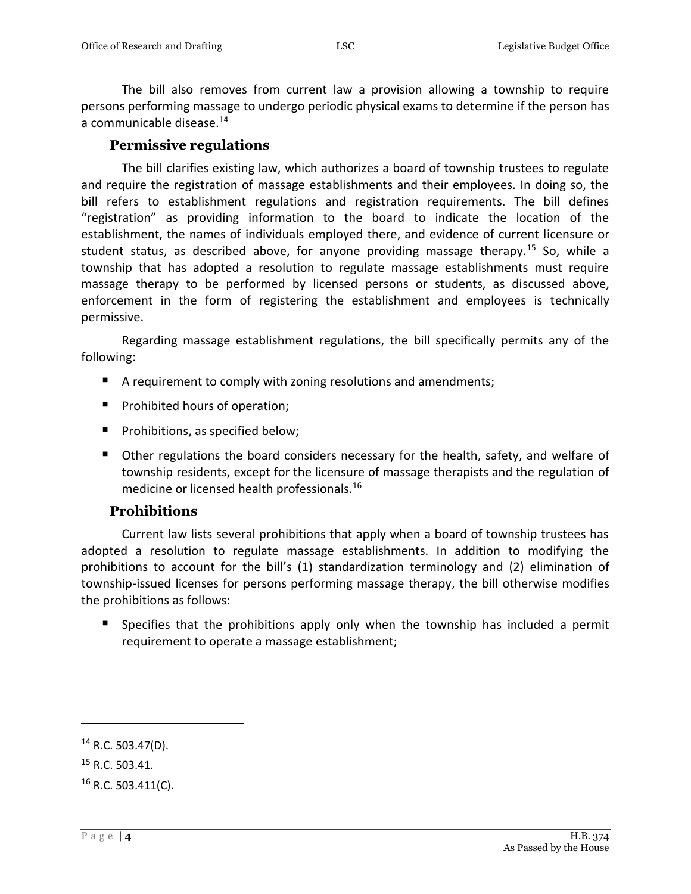The bill also removes from current law a provision allowing a township to require persons performing massage to undergo periodic physical exams to determine if the person has a communicable disease.<sup>14</sup>

#### **Permissive regulations**

The bill clarifies existing law, which authorizes a board of township trustees to regulate and require the registration of massage establishments and their employees. In doing so, the bill refers to establishment regulations and registration requirements. The bill defines "registration" as providing information to the board to indicate the location of the establishment, the names of individuals employed there, and evidence of current licensure or student status, as described above, for anyone providing massage therapy.<sup>15</sup> So, while a township that has adopted a resolution to regulate massage establishments must require massage therapy to be performed by licensed persons or students, as discussed above, enforcement in the form of registering the establishment and employees is technically permissive.

Regarding massage establishment regulations, the bill specifically permits any of the following:

- A requirement to comply with zoning resolutions and amendments;
- **Prohibited hours of operation;**
- **Prohibitions, as specified below;**
- Other regulations the board considers necessary for the health, safety, and welfare of township residents, except for the licensure of massage therapists and the regulation of medicine or licensed health professionals.<sup>16</sup>

#### **Prohibitions**

Current law lists several prohibitions that apply when a board of township trustees has adopted a resolution to regulate massage establishments. In addition to modifying the prohibitions to account for the bill's (1) standardization terminology and (2) elimination of township-issued licenses for persons performing massage therapy, the bill otherwise modifies the prohibitions as follows:

**Specifies that the prohibitions apply only when the township has included a permit** requirement to operate a massage establishment;

 $14$  R.C. 503.47(D).

<sup>15</sup> R.C. 503.41.

 $16$  R.C. 503.411(C).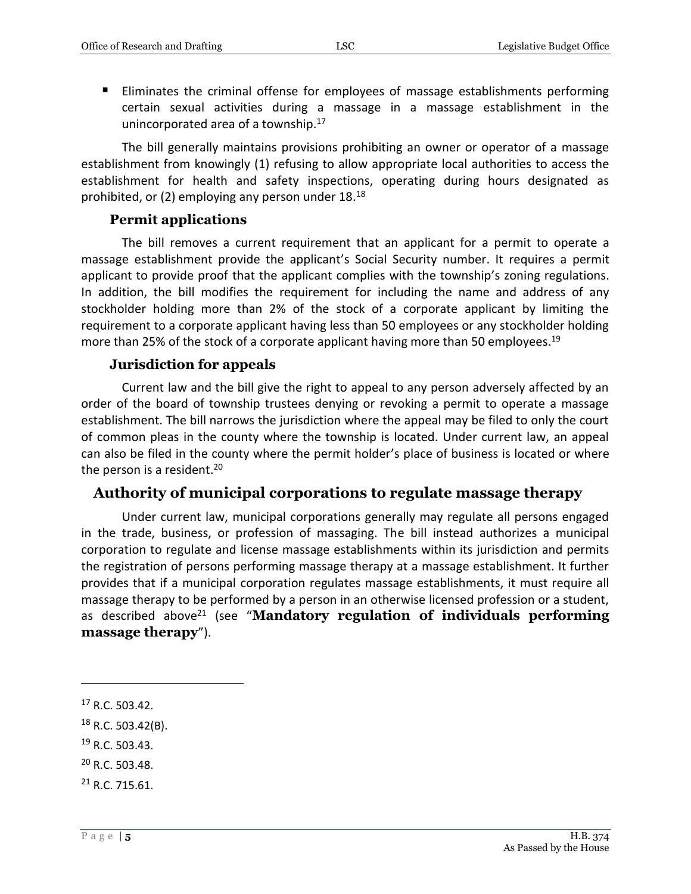Eliminates the criminal offense for employees of massage establishments performing certain sexual activities during a massage in a massage establishment in the unincorporated area of a township.<sup>17</sup>

The bill generally maintains provisions prohibiting an owner or operator of a massage establishment from knowingly (1) refusing to allow appropriate local authorities to access the establishment for health and safety inspections, operating during hours designated as prohibited, or (2) employing any person under 18.<sup>18</sup>

#### **Permit applications**

The bill removes a current requirement that an applicant for a permit to operate a massage establishment provide the applicant's Social Security number. It requires a permit applicant to provide proof that the applicant complies with the township's zoning regulations. In addition, the bill modifies the requirement for including the name and address of any stockholder holding more than 2% of the stock of a corporate applicant by limiting the requirement to a corporate applicant having less than 50 employees or any stockholder holding more than 25% of the stock of a corporate applicant having more than 50 employees.<sup>19</sup>

#### **Jurisdiction for appeals**

Current law and the bill give the right to appeal to any person adversely affected by an order of the board of township trustees denying or revoking a permit to operate a massage establishment. The bill narrows the jurisdiction where the appeal may be filed to only the court of common pleas in the county where the township is located. Under current law, an appeal can also be filed in the county where the permit holder's place of business is located or where the person is a resident.<sup>20</sup>

#### **Authority of municipal corporations to regulate massage therapy**

Under current law, municipal corporations generally may regulate all persons engaged in the trade, business, or profession of massaging. The bill instead authorizes a municipal corporation to regulate and license massage establishments within its jurisdiction and permits the registration of persons performing massage therapy at a massage establishment. It further provides that if a municipal corporation regulates massage establishments, it must require all massage therapy to be performed by a person in an otherwise licensed profession or a student, as described above<sup>21</sup> (see "**Mandatory regulation of individuals performing massage therapy**").

- <sup>18</sup> R.C. 503.42(B).
- $19$  R.C. 503.43.
- <sup>20</sup> R.C. 503.48.
- $21$  R.C. 715.61.

<sup>17</sup> R.C. 503.42.